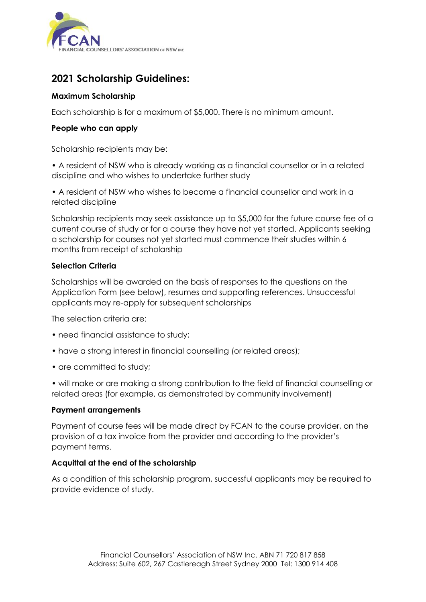

# **2021 Scholarship Guidelines:**

### **Maximum Scholarship**

Each scholarship is for a maximum of \$5,000. There is no minimum amount.

### **People who can apply**

Scholarship recipients may be:

• A resident of NSW who is already working as a financial counsellor or in a related discipline and who wishes to undertake further study

• A resident of NSW who wishes to become a financial counsellor and work in a related discipline

Scholarship recipients may seek assistance up to \$5,000 for the future course fee of a current course of study or for a course they have not yet started. Applicants seeking a scholarship for courses not yet started must commence their studies within 6 months from receipt of scholarship

### **Selection Criteria**

Scholarships will be awarded on the basis of responses to the questions on the Application Form (see below), resumes and supporting references. Unsuccessful applicants may re-apply for subsequent scholarships

The selection criteria are:

- need financial assistance to study;
- have a strong interest in financial counselling (or related areas);
- are committed to study;

• will make or are making a strong contribution to the field of financial counselling or related areas (for example, as demonstrated by community involvement)

### **Payment arrangements**

Payment of course fees will be made direct by FCAN to the course provider, on the provision of a tax invoice from the provider and according to the provider's payment terms.

### **Acquittal at the end of the scholarship**

As a condition of this scholarship program, successful applicants may be required to provide evidence of study.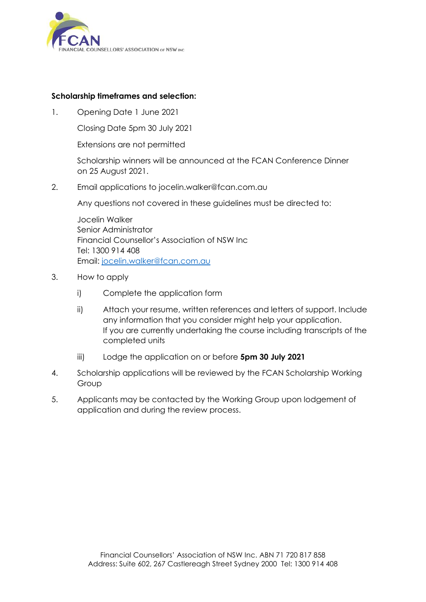

### **Scholarship timeframes and selection:**

1. Opening Date 1 June 2021

Closing Date 5pm 30 July 2021

Extensions are not permitted

Scholarship winners will be announced at the FCAN Conference Dinner on 25 August 2021.

2. Email applications to jocelin.walker@fcan.com.au

Any questions not covered in these guidelines must be directed to:

Jocelin Walker Senior Administrator Financial Counsellor's Association of NSW Inc Tel: 1300 914 408 Email: [jocelin.walker@fcan.com.au](mailto:jocelin.walker@fcan.com.au)

- 3. How to apply
	- i) Complete the application form
	- ii) Attach your resume, written references and letters of support. Include any information that you consider might help your application. If you are currently undertaking the course including transcripts of the completed units
	- iii) Lodge the application on or before **5pm 30 July 2021**
- 4. Scholarship applications will be reviewed by the FCAN Scholarship Working Group
- 5. Applicants may be contacted by the Working Group upon lodgement of application and during the review process.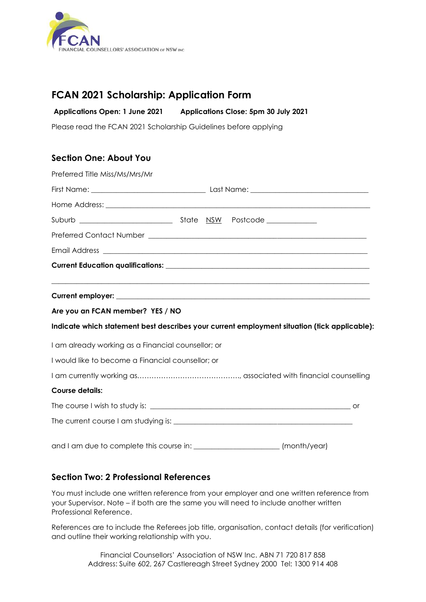

## **FCAN 2021 Scholarship: Application Form**

**Applications Open: 1 June 2021 Applications Close: 5pm 30 July 2021**

Please read the FCAN 2021 Scholarship Guidelines before applying

## **Section One: About You**

| Preferred Title Miss/Ms/Mrs/Mr                                                               |  |  |              |  |
|----------------------------------------------------------------------------------------------|--|--|--------------|--|
|                                                                                              |  |  |              |  |
|                                                                                              |  |  |              |  |
|                                                                                              |  |  |              |  |
|                                                                                              |  |  |              |  |
|                                                                                              |  |  |              |  |
|                                                                                              |  |  |              |  |
|                                                                                              |  |  |              |  |
| Are you an FCAN member? YES / NO                                                             |  |  |              |  |
| Indicate which statement best describes your current employment situation (tick applicable): |  |  |              |  |
| I am already working as a Financial counsellor; or                                           |  |  |              |  |
| I would like to become a Financial counsellor; or                                            |  |  |              |  |
|                                                                                              |  |  |              |  |
| <b>Course details:</b>                                                                       |  |  |              |  |
|                                                                                              |  |  |              |  |
|                                                                                              |  |  |              |  |
|                                                                                              |  |  | (month/year) |  |

### **Section Two: 2 Professional References**

You must include one written reference from your employer and one written reference from your Supervisor. Note – if both are the same you will need to include another written Professional Reference.

References are to include the Referees job title, organisation, contact details (for verification) and outline their working relationship with you.

> Financial Counsellors' Association of NSW Inc. ABN 71 720 817 858 Address: Suite 602, 267 Castlereagh Street Sydney 2000 Tel: 1300 914 408